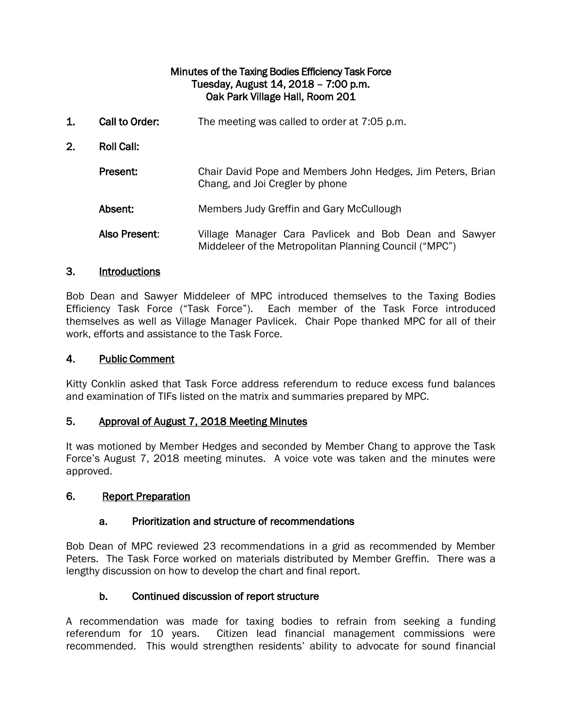## Minutes of the Taxing Bodies Efficiency Task Force Tuesday, August 14, 2018 – 7:00 p.m. Oak Park Village Hall, Room 201

1. Call to Order: The meeting was called to order at 7:05 p.m. 2. Roll Call: Present: Chair David Pope and Members John Hedges, Jim Peters, Brian Chang, and Joi Cregler by phone Absent: Members Judy Greffin and Gary McCullough Also Present: Village Manager Cara Pavlicek and Bob Dean and Sawyer Middeleer of the Metropolitan Planning Council ("MPC")

## 3. Introductions

Bob Dean and Sawyer Middeleer of MPC introduced themselves to the Taxing Bodies Efficiency Task Force ("Task Force"). Each member of the Task Force introduced themselves as well as Village Manager Pavlicek. Chair Pope thanked MPC for all of their work, efforts and assistance to the Task Force.

### 4. Public Comment

Kitty Conklin asked that Task Force address referendum to reduce excess fund balances and examination of TIFs listed on the matrix and summaries prepared by MPC.

#### 5. Approval of August 7, 2018 Meeting Minutes

It was motioned by Member Hedges and seconded by Member Chang to approve the Task Force's August 7, 2018 meeting minutes. A voice vote was taken and the minutes were approved.

#### 6. Report Preparation

## a. Prioritization and structure of recommendations

Bob Dean of MPC reviewed 23 recommendations in a grid as recommended by Member Peters. The Task Force worked on materials distributed by Member Greffin. There was a lengthy discussion on how to develop the chart and final report.

## b. Continued discussion of report structure

A recommendation was made for taxing bodies to refrain from seeking a funding referendum for 10 years. Citizen lead financial management commissions were recommended. This would strengthen residents' ability to advocate for sound financial